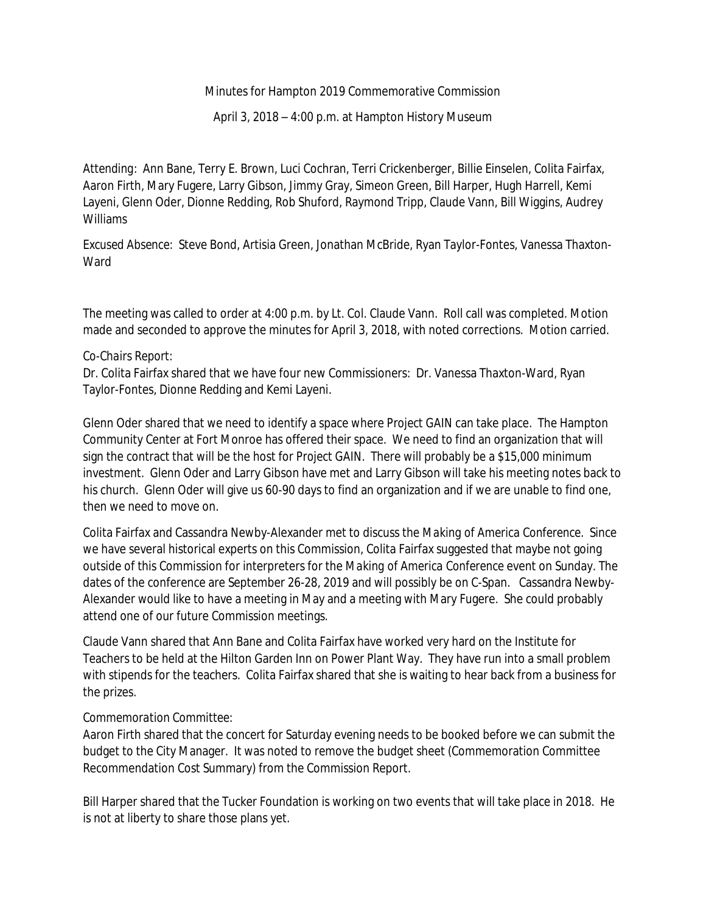## Minutes for Hampton 2019 Commemorative Commission

April 3, 2018 – 4:00 p.m. at Hampton History Museum

*Attending*: Ann Bane, Terry E. Brown, Luci Cochran, Terri Crickenberger, Billie Einselen, Colita Fairfax, Aaron Firth, Mary Fugere, Larry Gibson, Jimmy Gray, Simeon Green, Bill Harper, Hugh Harrell, Kemi Layeni, Glenn Oder, Dionne Redding, Rob Shuford, Raymond Tripp, Claude Vann, Bill Wiggins, Audrey Williams

*Excused Absence:* Steve Bond, Artisia Green, Jonathan McBride, Ryan Taylor-Fontes, Vanessa Thaxton-**Ward** 

The meeting was called to order at 4:00 p.m. by Lt. Col. Claude Vann. Roll call was completed. Motion made and seconded to approve the minutes for April 3, 2018, with noted corrections. Motion carried.

## *Co-Chairs Report:*

Dr. Colita Fairfax shared that we have four new Commissioners: Dr. Vanessa Thaxton-Ward, Ryan Taylor-Fontes, Dionne Redding and Kemi Layeni.

Glenn Oder shared that we need to identify a space where *Project GAIN* can take place. The Hampton Community Center at Fort Monroe has offered their space. We need to find an organization that will sign the contract that will be the host for *Project GAIN*. There will probably be a \$15,000 minimum investment. Glenn Oder and Larry Gibson have met and Larry Gibson will take his meeting notes back to his church. Glenn Oder will give us 60-90 days to find an organization and if we are unable to find one, then we need to move on.

Colita Fairfax and Cassandra Newby-Alexander met to discuss the *Making of America Conference*. Since we have several historical experts on this Commission*,* Colita Fairfax suggested that maybe not going outside of this Commission for interpreters for the *Making of America Conference* event on Sunday. The dates of the conference are September 26-28, 2019 and will possibly be on C-Span. Cassandra Newby-Alexander would like to have a meeting in May and a meeting with Mary Fugere. She could probably attend one of our future Commission meetings.

Claude Vann shared that Ann Bane and Colita Fairfax have worked very hard on the Institute for Teachers to be held at the Hilton Garden Inn on Power Plant Way. They have run into a small problem with stipends for the teachers. Colita Fairfax shared that she is waiting to hear back from a business for the prizes.

## *Commemoration Committee:*

Aaron Firth shared that the concert for Saturday evening needs to be booked before we can submit the budget to the City Manager. It was noted to remove the budget sheet (Commemoration Committee Recommendation Cost Summary) from the Commission Report.

Bill Harper shared that the Tucker Foundation is working on two events that will take place in 2018. He is not at liberty to share those plans yet.